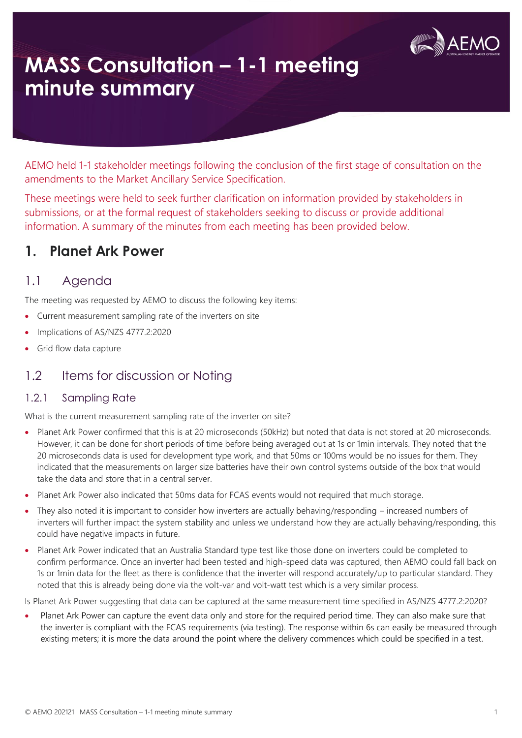

# **MASS Consultation – 1-1 meeting minute summary**

AEMO held 1-1 stakeholder meetings following the conclusion of the first stage of consultation on the amendments to the Market Ancillary Service Specification.

These meetings were held to seek further clarification on information provided by stakeholders in submissions, or at the formal request of stakeholders seeking to discuss or provide additional information. A summary of the minutes from each meeting has been provided below.

## **1. Planet Ark Power**

### 1.1 Agenda

The meeting was requested by AEMO to discuss the following key items:

- Current measurement sampling rate of the inverters on site
- Implications of AS/NZS 4777.2:2020
- Grid flow data capture

### 1.2 Items for discussion or Noting

#### 1.2.1 Sampling Rate

What is the current measurement sampling rate of the inverter on site?

- Planet Ark Power confirmed that this is at 20 microseconds (50kHz) but noted that data is not stored at 20 microseconds. However, it can be done for short periods of time before being averaged out at 1s or 1min intervals. They noted that the 20 microseconds data is used for development type work, and that 50ms or 100ms would be no issues for them. They indicated that the measurements on larger size batteries have their own control systems outside of the box that would take the data and store that in a central server.
- Planet Ark Power also indicated that 50ms data for FCAS events would not required that much storage.
- They also noted it is important to consider how inverters are actually behaving/responding increased numbers of inverters will further impact the system stability and unless we understand how they are actually behaving/responding, this could have negative impacts in future.
- Planet Ark Power indicated that an Australia Standard type test like those done on inverters could be completed to confirm performance. Once an inverter had been tested and high-speed data was captured, then AEMO could fall back on 1s or 1min data for the fleet as there is confidence that the inverter will respond accurately/up to particular standard. They noted that this is already being done via the volt-var and volt-watt test which is a very similar process.

Is Planet Ark Power suggesting that data can be captured at the same measurement time specified in AS/NZS 4777.2:2020?

• Planet Ark Power can capture the event data only and store for the required period time. They can also make sure that the inverter is compliant with the FCAS requirements (via testing). The response within 6s can easily be measured through existing meters; it is more the data around the point where the delivery commences which could be specified in a test.